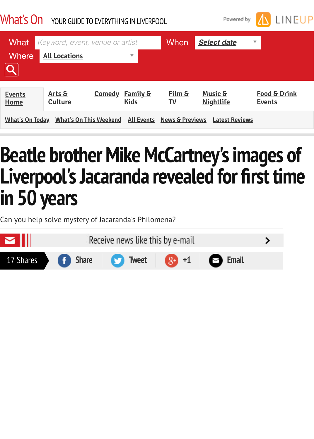| <b>Events</b>          | Arts &                            | <b>Comedy</b> | <u>Family &amp;</u> | Film &                     | <b>Music &amp;</b>    | Food 8        |
|------------------------|-----------------------------------|---------------|---------------------|----------------------------|-----------------------|---------------|
| Home                   | <b>Culture</b>                    |               | <b>Kids</b>         | TV                         | <b>Nightlife</b>      | <b>Events</b> |
| <b>What's On Today</b> | What's On This Weekend All Events |               |                     | <b>News &amp; Previews</b> | <b>Latest Reviews</b> |               |

## **Beatle brother Mike McCartney's image [Live](http://www.liverpoolecho.co.uk/whats-on/)rp[ool's](http://www.liverpoolecho.co.uk/whats-on/arts-culture/) J[acara](http://www.liverpoolecho.co.uk/whats-on/comedy/)[nda](http://www.liverpoolecho.co.uk/whats-on/family-kids/) re[vea](http://www.liverpoolecho.co.uk/whats-on/film/)l[ed fo](http://www.liverpoolecho.co.uk/whats-on/music-nightlife/)r first t i[n 50 y](http://www.liverpoolecho.co.uk/whats-on/liverpool/everything/today/)[ears](http://www.liverpoolecho.co.uk/whats-on/liverpool/everything/this-weekend/)**

Can you help solve mystery of Jacaranda's Philomena?

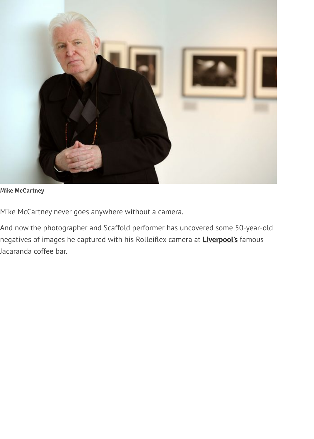

**Mike McCartney**

Mike McCartney never goes anywhere without a camera.

And now the photographer and Scaffold performer has uncovered some 50-year-old negatives of images he captured with his Rolleiflex camera at **Liverpool's** famous Jacaranda coffee bar.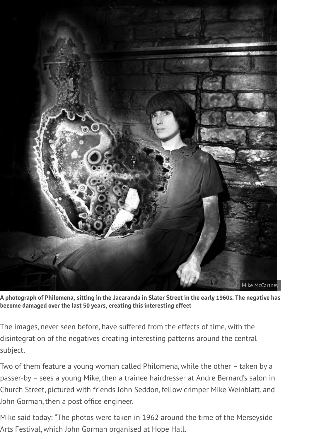

**A photograph of Philomena, sitting in the Jacaranda in Slater Street in the early 1960s. The negative has become damaged over the last 50 years, creating this interesting effect**

The images, never seen before, have suffered from the effects of time, with the disintegration of the negatives creating interesting patterns around the central subject.

Two of them feature a young woman called Philomena, while the other – taken by a passer-by – sees a young Mike, then a trainee hairdresser at Andre Bernard's salon in Church Street, pictured with friends John Seddon, fellow crimper Mike Weinblatt, and John Gorman, then a post office engineer.

Mike said today: "The photos were taken in 1962 around the time of the Merseyside Arts Festival, which John Gorman organised at Hope Hall.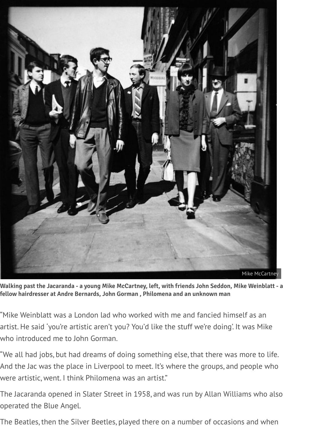

**Walking past the Jacaranda - a young Mike McCartney, left, with friends John Seddon, Mike Weinblatt - a fellow hairdresser at Andre Bernards, John Gorman , Philomena and an unknown man**

"Mike Weinblatt was a London lad who worked with me and fancied himself as an artist. He said 'you're artistic aren't you? You'd like the stuff we're doing'. It was Mike who introduced me to John Gorman.

"We all had jobs, but had dreams of doing something else, that there was more to life. And the Jac was the place in Liverpool to meet. It's where the groups, and people who were artistic, went. I think Philomena was an artist."

The Jacaranda opened in Slater Street in 1958, and was run by Allan Williams who also operated the Blue Angel.

The Beatles, then the Silver Beetles, played there on a number of occasions and when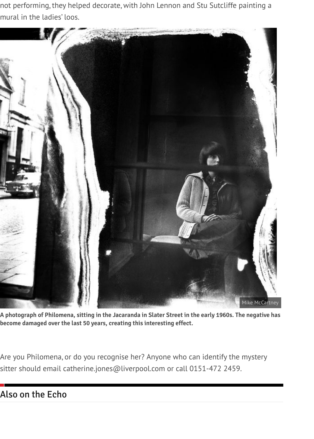not performing, they helped decorate, with John Lennon and Stu Sutcliffe painting a mural in the ladies' loos.



**A photograph of Philomena, sitting in the Jacaranda in Slater Street in the early 1960s. The negative has become damaged over the last 50 years, creating this interesting effect.**

Are you Philomena, or do you recognise her? Anyone who can identify the mystery sitter should email catherine.jones@liverpool.com or call 0151-472 2459.

## Also on the Echo